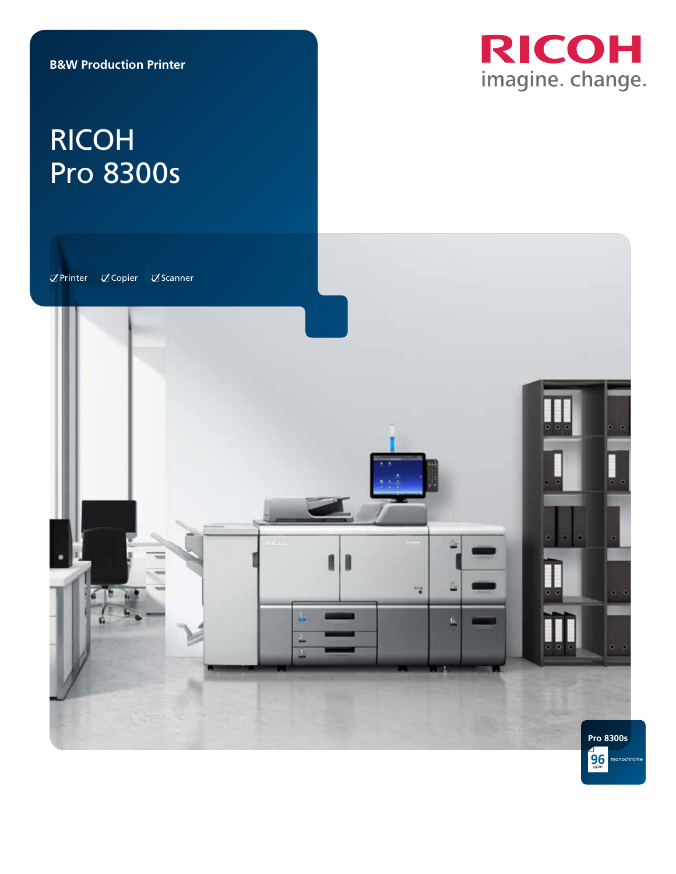

ppm **96** monochrome

# RICOH Pro 8300s

 $\overline{\mathcal{A}}$ Printer  $\overline{\mathcal{A}}$ Copier  $\overline{\mathcal{A}}$ Scanner

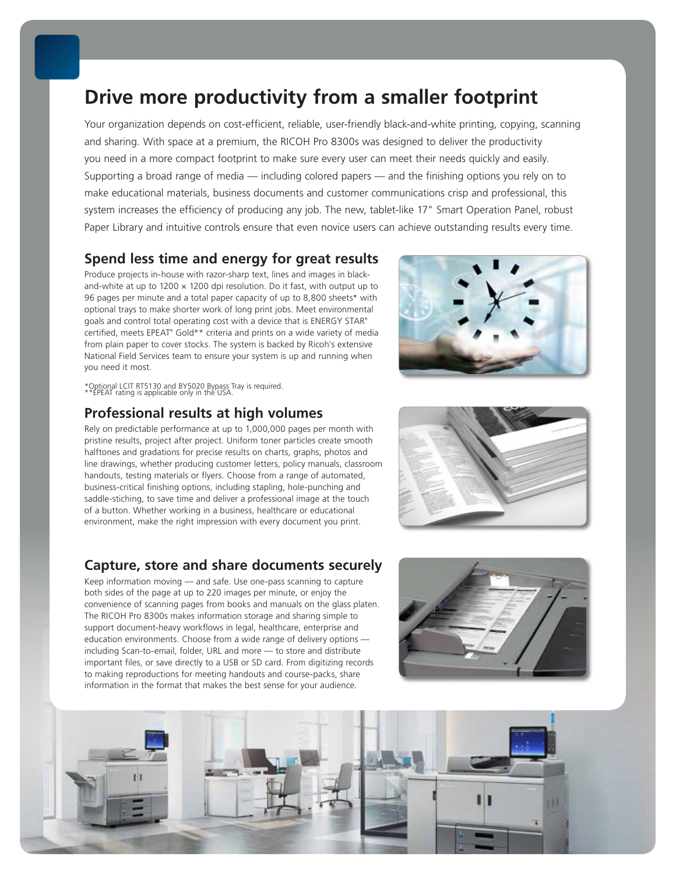## **Drive more productivity from a smaller footprint**

Your organization depends on cost-efficient, reliable, user-friendly black-and-white printing, copying, scanning and sharing. With space at a premium, the RICOH Pro 8300s was designed to deliver the productivity you need in a more compact footprint to make sure every user can meet their needs quickly and easily. Supporting a broad range of media — including colored papers — and the finishing options you rely on to make educational materials, business documents and customer communications crisp and professional, this system increases the efficiency of producing any job. The new, tablet-like 17" Smart Operation Panel, robust Paper Library and intuitive controls ensure that even novice users can achieve outstanding results every time.

## **Spend less time and energy for great results**

Produce projects in-house with razor-sharp text, lines and images in blackand-white at up to 1200  $\times$  1200 dpi resolution. Do it fast, with output up to 96 pages per minute and a total paper capacity of up to 8,800 sheets\* with optional trays to make shorter work of long print jobs. Meet environmental goals and control total operating cost with a device that is ENERGY STAR® certified, meets EPEAT® Gold\*\* criteria and prints on a wide variety of media from plain paper to cover stocks. The system is backed by Ricoh's extensive National Field Services team to ensure your system is up and running when you need it most.



\*Optional LCIT RT5130 and BY5020 Bypass Tray is required. \*\*EPEAT rating is applicable only in the USA.

## **Professional results at high volumes**

Rely on predictable performance at up to 1,000,000 pages per month with pristine results, project after project. Uniform toner particles create smooth halftones and gradations for precise results on charts, graphs, photos and line drawings, whether producing customer letters, policy manuals, classroom handouts, testing materials or flyers. Choose from a range of automated, business-critical finishing options, including stapling, hole-punching and saddle-stiching, to save time and deliver a professional image at the touch of a button. Whether working in a business, healthcare or educational environment, make the right impression with every document you print.

### **Capture, store and share documents securely**

Keep information moving — and safe. Use one-pass scanning to capture both sides of the page at up to 220 images per minute, or enjoy the convenience of scanning pages from books and manuals on the glass platen. The RICOH Pro 8300s makes information storage and sharing simple to support document-heavy workflows in legal, healthcare, enterprise and education environments. Choose from a wide range of delivery options including Scan-to-email, folder, URL and more — to store and distribute important files, or save directly to a USB or SD card. From digitizing records to making reproductions for meeting handouts and course-packs, share information in the format that makes the best sense for your audience.



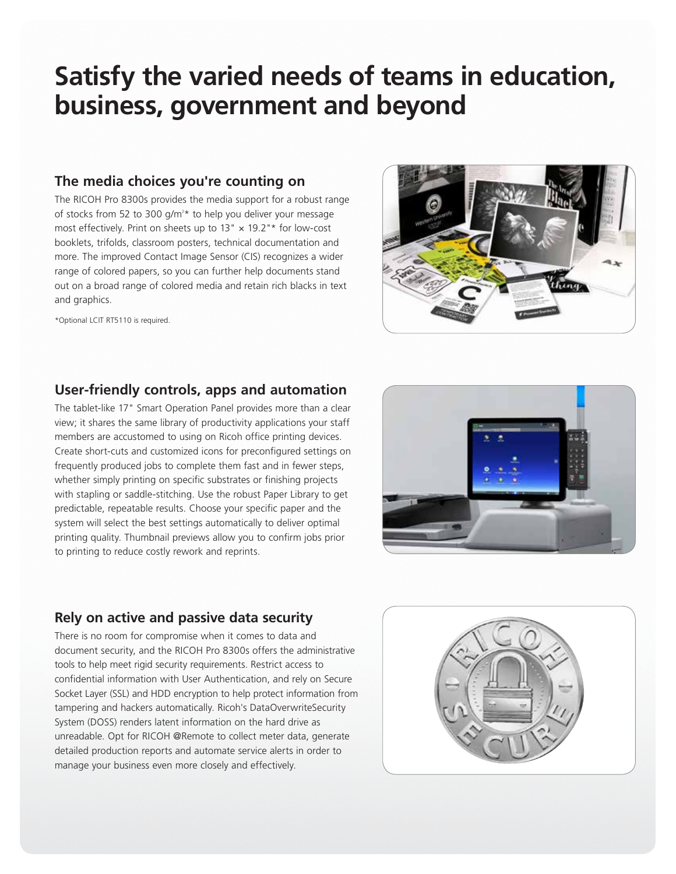## **Satisfy the varied needs of teams in education, business, government and beyond**

## **The media choices you're counting on**

The RICOH Pro 8300s provides the media support for a robust range of stocks from 52 to 300 g/m<sup>2\*</sup> to help you deliver your message most effectively. Print on sheets up to  $13" \times 19.2"$ \* for low-cost booklets, trifolds, classroom posters, technical documentation and more. The improved Contact Image Sensor (CIS) recognizes a wider range of colored papers, so you can further help documents stand out on a broad range of colored media and retain rich blacks in text and graphics.

\*Optional LCIT RT5110 is required.



## **User-friendly controls, apps and automation**

The tablet-like 17" Smart Operation Panel provides more than a clear view; it shares the same library of productivity applications your staff members are accustomed to using on Ricoh office printing devices. Create short-cuts and customized icons for preconfigured settings on frequently produced jobs to complete them fast and in fewer steps, whether simply printing on specific substrates or finishing projects with stapling or saddle-stitching. Use the robust Paper Library to get predictable, repeatable results. Choose your specific paper and the system will select the best settings automatically to deliver optimal printing quality. Thumbnail previews allow you to confirm jobs prior to printing to reduce costly rework and reprints.



## **Rely on active and passive data security**

There is no room for compromise when it comes to data and document security, and the RICOH Pro 8300s offers the administrative tools to help meet rigid security requirements. Restrict access to confidential information with User Authentication, and rely on Secure Socket Layer (SSL) and HDD encryption to help protect information from tampering and hackers automatically. Ricoh's DataOverwriteSecurity System (DOSS) renders latent information on the hard drive as unreadable. Opt for RICOH @Remote to collect meter data, generate detailed production reports and automate service alerts in order to manage your business even more closely and effectively.